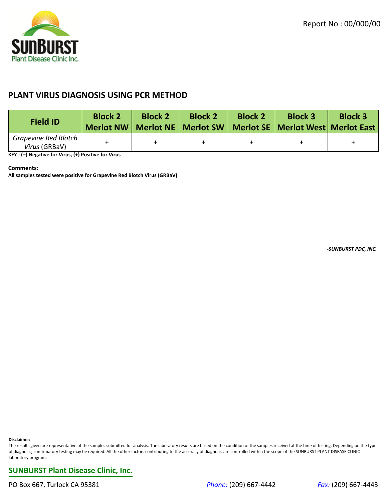

## **PLANT VIRUS DIAGNOSIS USING PCR METHOD**

| <b>Field ID</b>                              | <b>Block 2</b><br><b>Merlot NW</b> | <b>Block 2</b> | <b>Block 2</b><br>Merlot NE   Merlot SW | <b>Block 2</b> | <b>Block 3</b><br>Merlot SE   Merlot West  Merlot East | <b>Block 3</b> |
|----------------------------------------------|------------------------------------|----------------|-----------------------------------------|----------------|--------------------------------------------------------|----------------|
| <b>Grapevine Red Blotch</b><br>Virus (GRBaV) |                                    |                |                                         |                |                                                        |                |

**KEY : (–) Negative for Virus, (+) Positive for Virus**

## **Comments:**

**All samples tested were positive for Grapevine Red Blotch Virus (GRBaV)**

*-SUNBURST PDC, INC.*

**Disclaimer:**

The results given are representative of the samples submitted for analysis. The laboratory results are based on the condition of the samples received at the time of testing. Depending on the type of diagnosis, confirmatory testing may be required. All the other factors contributing to the accuracy of diagnosis are controlled within the scope of the SUNBURST PLANT DISEASE CLINIC laboratory program.

**SUNBURST Plant Disease Clinic, Inc.**

PO Box 667, Turlock CA 95381 *Phone:* (209) 667-4442 *Fax:* (209) 667-4443